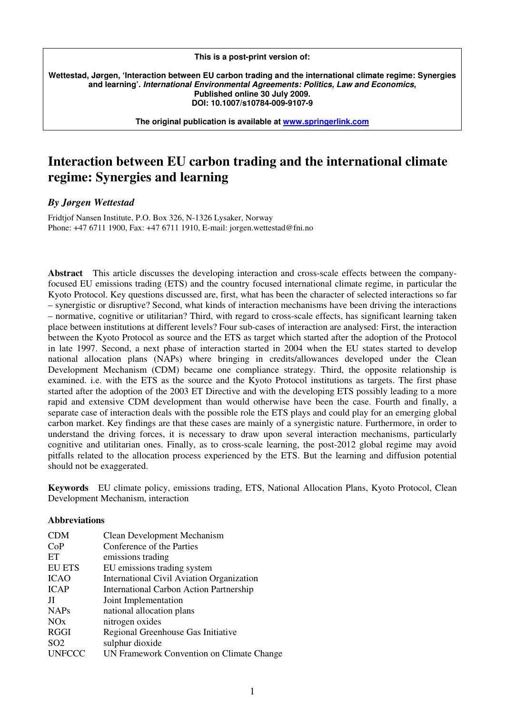#### **This is a post-print version of:**

**Wettestad, Jørgen, 'Interaction between EU carbon trading and the international climate regime: Synergies and learning'. International Environmental Agreements: Politics, Law and Economics, Published online 30 July 2009. DOI: 10.1007/s10784-009-9107-9** 

**The original publication is available at www.springerlink.com** 

# **Interaction between EU carbon trading and the international climate regime: Synergies and learning**

## *By Jørgen Wettestad*

Fridtjof Nansen Institute, P.O. Box 326, N-1326 Lysaker, Norway Phone: +47 6711 1900, Fax: +47 6711 1910, E-mail: jorgen.wettestad@fni.no

**Abstract** This article discusses the developing interaction and cross-scale effects between the companyfocused EU emissions trading (ETS) and the country focused international climate regime, in particular the Kyoto Protocol. Key questions discussed are, first, what has been the character of selected interactions so far – synergistic or disruptive? Second, what kinds of interaction mechanisms have been driving the interactions – normative, cognitive or utilitarian? Third, with regard to cross-scale effects, has significant learning taken place between institutions at different levels? Four sub-cases of interaction are analysed: First, the interaction between the Kyoto Protocol as source and the ETS as target which started after the adoption of the Protocol in late 1997. Second, a next phase of interaction started in 2004 when the EU states started to develop national allocation plans (NAPs) where bringing in credits/allowances developed under the Clean Development Mechanism (CDM) became one compliance strategy. Third, the opposite relationship is examined. i.e. with the ETS as the source and the Kyoto Protocol institutions as targets. The first phase started after the adoption of the 2003 ET Directive and with the developing ETS possibly leading to a more rapid and extensive CDM development than would otherwise have been the case. Fourth and finally, a separate case of interaction deals with the possible role the ETS plays and could play for an emerging global carbon market. Key findings are that these cases are mainly of a synergistic nature. Furthermore, in order to understand the driving forces, it is necessary to draw upon several interaction mechanisms, particularly cognitive and utilitarian ones. Finally, as to cross-scale learning, the post-2012 global regime may avoid pitfalls related to the allocation process experienced by the ETS. But the learning and diffusion potential should not be exaggerated.

**Keywords** EU climate policy, emissions trading, ETS, National Allocation Plans, Kyoto Protocol, Clean Development Mechanism, interaction

#### **Abbreviations**

| <b>CDM</b>      | <b>Clean Development Mechanism</b>             |
|-----------------|------------------------------------------------|
| CoP             | Conference of the Parties                      |
| ET              | emissions trading                              |
| <b>EU ETS</b>   | EU emissions trading system                    |
| <b>ICAO</b>     | International Civil Aviation Organization      |
| <b>ICAP</b>     | <b>International Carbon Action Partnership</b> |
| Л               | Joint Implementation                           |
| <b>NAPs</b>     | national allocation plans                      |
| NOx             | nitrogen oxides                                |
| <b>RGGI</b>     | Regional Greenhouse Gas Initiative             |
| SO <sub>2</sub> | sulphur dioxide                                |
| <b>UNFCCC</b>   | UN Framework Convention on Climate Change      |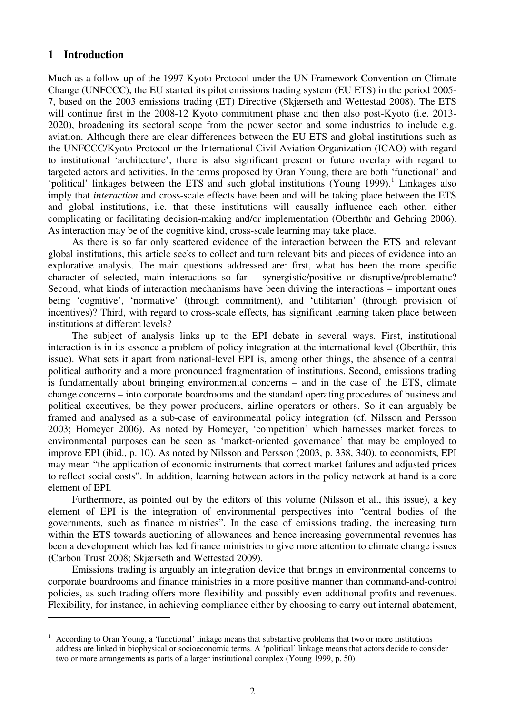# **1 Introduction**

<u>.</u>

Much as a follow-up of the 1997 Kyoto Protocol under the UN Framework Convention on Climate Change (UNFCCC), the EU started its pilot emissions trading system (EU ETS) in the period 2005- 7, based on the 2003 emissions trading (ET) Directive (Skjærseth and Wettestad 2008). The ETS will continue first in the 2008-12 Kyoto commitment phase and then also post-Kyoto (i.e. 2013- 2020), broadening its sectoral scope from the power sector and some industries to include e.g. aviation. Although there are clear differences between the EU ETS and global institutions such as the UNFCCC/Kyoto Protocol or the International Civil Aviation Organization (ICAO) with regard to institutional 'architecture', there is also significant present or future overlap with regard to targeted actors and activities. In the terms proposed by Oran Young, there are both 'functional' and 'political' linkages between the ETS and such global institutions (Young 1999).<sup>1</sup> Linkages also imply that *interaction* and cross-scale effects have been and will be taking place between the ETS and global institutions, i.e. that these institutions will causally influence each other, either complicating or facilitating decision-making and/or implementation (Oberthür and Gehring 2006). As interaction may be of the cognitive kind, cross-scale learning may take place.

 As there is so far only scattered evidence of the interaction between the ETS and relevant global institutions, this article seeks to collect and turn relevant bits and pieces of evidence into an explorative analysis. The main questions addressed are: first, what has been the more specific character of selected, main interactions so far – synergistic/positive or disruptive/problematic? Second, what kinds of interaction mechanisms have been driving the interactions – important ones being 'cognitive', 'normative' (through commitment), and 'utilitarian' (through provision of incentives)? Third, with regard to cross-scale effects, has significant learning taken place between institutions at different levels?

 The subject of analysis links up to the EPI debate in several ways. First, institutional interaction is in its essence a problem of policy integration at the international level (Oberthür, this issue). What sets it apart from national-level EPI is, among other things, the absence of a central political authority and a more pronounced fragmentation of institutions. Second, emissions trading is fundamentally about bringing environmental concerns – and in the case of the ETS, climate change concerns – into corporate boardrooms and the standard operating procedures of business and political executives, be they power producers, airline operators or others. So it can arguably be framed and analysed as a sub-case of environmental policy integration (cf. Nilsson and Persson 2003; Homeyer 2006). As noted by Homeyer, 'competition' which harnesses market forces to environmental purposes can be seen as 'market-oriented governance' that may be employed to improve EPI (ibid., p. 10). As noted by Nilsson and Persson (2003, p. 338, 340), to economists, EPI may mean "the application of economic instruments that correct market failures and adjusted prices to reflect social costs". In addition, learning between actors in the policy network at hand is a core element of EPI.

 Furthermore, as pointed out by the editors of this volume (Nilsson et al., this issue), a key element of EPI is the integration of environmental perspectives into "central bodies of the governments, such as finance ministries". In the case of emissions trading, the increasing turn within the ETS towards auctioning of allowances and hence increasing governmental revenues has been a development which has led finance ministries to give more attention to climate change issues (Carbon Trust 2008; Skjærseth and Wettestad 2009).

 Emissions trading is arguably an integration device that brings in environmental concerns to corporate boardrooms and finance ministries in a more positive manner than command-and-control policies, as such trading offers more flexibility and possibly even additional profits and revenues. Flexibility, for instance, in achieving compliance either by choosing to carry out internal abatement,

 $1$  According to Oran Young, a 'functional' linkage means that substantive problems that two or more institutions address are linked in biophysical or socioeconomic terms. A 'political' linkage means that actors decide to consider two or more arrangements as parts of a larger institutional complex (Young 1999, p. 50).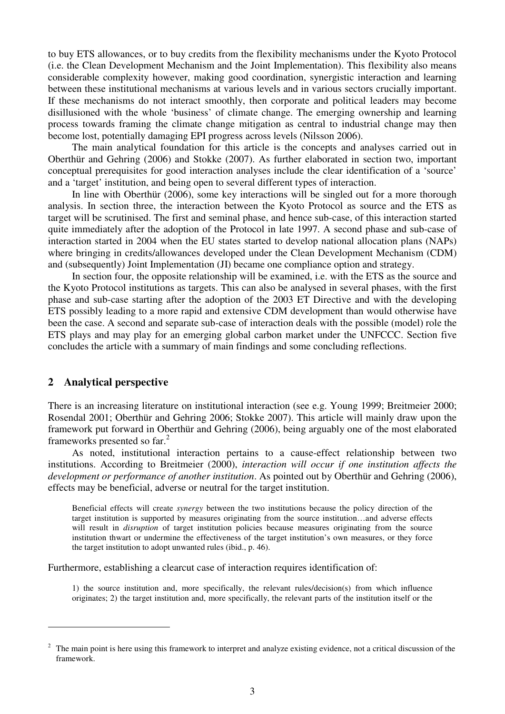to buy ETS allowances, or to buy credits from the flexibility mechanisms under the Kyoto Protocol (i.e. the Clean Development Mechanism and the Joint Implementation). This flexibility also means considerable complexity however, making good coordination, synergistic interaction and learning between these institutional mechanisms at various levels and in various sectors crucially important. If these mechanisms do not interact smoothly, then corporate and political leaders may become disillusioned with the whole 'business' of climate change. The emerging ownership and learning process towards framing the climate change mitigation as central to industrial change may then become lost, potentially damaging EPI progress across levels (Nilsson 2006).

 The main analytical foundation for this article is the concepts and analyses carried out in Oberthür and Gehring (2006) and Stokke (2007). As further elaborated in section two, important conceptual prerequisites for good interaction analyses include the clear identification of a 'source' and a 'target' institution, and being open to several different types of interaction.

 In line with Oberthür (2006), some key interactions will be singled out for a more thorough analysis. In section three, the interaction between the Kyoto Protocol as source and the ETS as target will be scrutinised. The first and seminal phase, and hence sub-case, of this interaction started quite immediately after the adoption of the Protocol in late 1997. A second phase and sub-case of interaction started in 2004 when the EU states started to develop national allocation plans (NAPs) where bringing in credits/allowances developed under the Clean Development Mechanism (CDM) and (subsequently) Joint Implementation (JI) became one compliance option and strategy.

 In section four, the opposite relationship will be examined, i.e. with the ETS as the source and the Kyoto Protocol institutions as targets. This can also be analysed in several phases, with the first phase and sub-case starting after the adoption of the 2003 ET Directive and with the developing ETS possibly leading to a more rapid and extensive CDM development than would otherwise have been the case. A second and separate sub-case of interaction deals with the possible (model) role the ETS plays and may play for an emerging global carbon market under the UNFCCC. Section five concludes the article with a summary of main findings and some concluding reflections.

#### **2 Analytical perspective**

1

There is an increasing literature on institutional interaction (see e.g. Young 1999; Breitmeier 2000; Rosendal 2001; Oberthür and Gehring 2006; Stokke 2007). This article will mainly draw upon the framework put forward in Oberthür and Gehring (2006), being arguably one of the most elaborated frameworks presented so far.<sup>2</sup>

 As noted, institutional interaction pertains to a cause-effect relationship between two institutions. According to Breitmeier (2000), *interaction will occur if one institution affects the development or performance of another institution*. As pointed out by Oberthür and Gehring (2006), effects may be beneficial, adverse or neutral for the target institution.

Beneficial effects will create *synergy* between the two institutions because the policy direction of the target institution is supported by measures originating from the source institution…and adverse effects will result in *disruption* of target institution policies because measures originating from the source institution thwart or undermine the effectiveness of the target institution's own measures, or they force the target institution to adopt unwanted rules (ibid., p. 46).

Furthermore, establishing a clearcut case of interaction requires identification of:

1) the source institution and, more specifically, the relevant rules/decision(s) from which influence originates; 2) the target institution and, more specifically, the relevant parts of the institution itself or the

 $2<sup>2</sup>$  The main point is here using this framework to interpret and analyze existing evidence, not a critical discussion of the framework.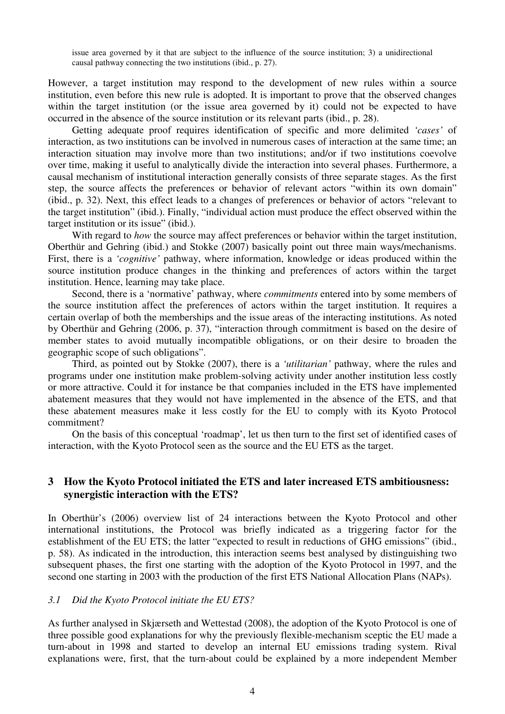issue area governed by it that are subject to the influence of the source institution; 3) a unidirectional causal pathway connecting the two institutions (ibid., p. 27).

However, a target institution may respond to the development of new rules within a source institution, even before this new rule is adopted. It is important to prove that the observed changes within the target institution (or the issue area governed by it) could not be expected to have occurred in the absence of the source institution or its relevant parts (ibid., p. 28).

 Getting adequate proof requires identification of specific and more delimited *'cases'* of interaction, as two institutions can be involved in numerous cases of interaction at the same time; an interaction situation may involve more than two institutions; and/or if two institutions coevolve over time, making it useful to analytically divide the interaction into several phases. Furthermore, a causal mechanism of institutional interaction generally consists of three separate stages. As the first step, the source affects the preferences or behavior of relevant actors "within its own domain" (ibid., p. 32). Next, this effect leads to a changes of preferences or behavior of actors "relevant to the target institution" (ibid.). Finally, "individual action must produce the effect observed within the target institution or its issue" (ibid.).

 With regard to *how* the source may affect preferences or behavior within the target institution, Oberthür and Gehring (ibid.) and Stokke (2007) basically point out three main ways/mechanisms. First, there is a *'cognitive'* pathway, where information, knowledge or ideas produced within the source institution produce changes in the thinking and preferences of actors within the target institution. Hence, learning may take place.

 Second, there is a 'normative' pathway, where *commitments* entered into by some members of the source institution affect the preferences of actors within the target institution. It requires a certain overlap of both the memberships and the issue areas of the interacting institutions. As noted by Oberthür and Gehring (2006, p. 37), "interaction through commitment is based on the desire of member states to avoid mutually incompatible obligations, or on their desire to broaden the geographic scope of such obligations".

 Third, as pointed out by Stokke (2007), there is a *'utilitarian'* pathway, where the rules and programs under one institution make problem-solving activity under another institution less costly or more attractive. Could it for instance be that companies included in the ETS have implemented abatement measures that they would not have implemented in the absence of the ETS, and that these abatement measures make it less costly for the EU to comply with its Kyoto Protocol commitment?

 On the basis of this conceptual 'roadmap', let us then turn to the first set of identified cases of interaction, with the Kyoto Protocol seen as the source and the EU ETS as the target.

# **3 How the Kyoto Protocol initiated the ETS and later increased ETS ambitiousness: synergistic interaction with the ETS?**

In Oberthür's (2006) overview list of 24 interactions between the Kyoto Protocol and other international institutions, the Protocol was briefly indicated as a triggering factor for the establishment of the EU ETS; the latter "expected to result in reductions of GHG emissions" (ibid., p. 58). As indicated in the introduction, this interaction seems best analysed by distinguishing two subsequent phases, the first one starting with the adoption of the Kyoto Protocol in 1997, and the second one starting in 2003 with the production of the first ETS National Allocation Plans (NAPs).

#### *3.1 Did the Kyoto Protocol initiate the EU ETS?*

As further analysed in Skjærseth and Wettestad (2008), the adoption of the Kyoto Protocol is one of three possible good explanations for why the previously flexible-mechanism sceptic the EU made a turn-about in 1998 and started to develop an internal EU emissions trading system. Rival explanations were, first, that the turn-about could be explained by a more independent Member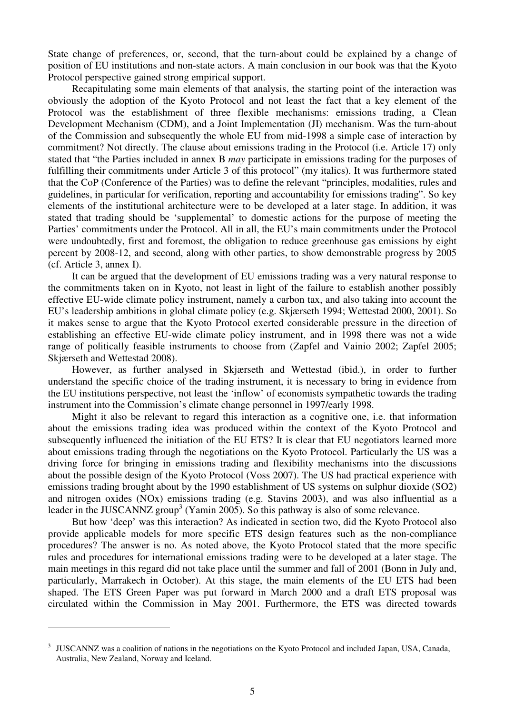State change of preferences, or, second, that the turn-about could be explained by a change of position of EU institutions and non-state actors. A main conclusion in our book was that the Kyoto Protocol perspective gained strong empirical support.

 Recapitulating some main elements of that analysis, the starting point of the interaction was obviously the adoption of the Kyoto Protocol and not least the fact that a key element of the Protocol was the establishment of three flexible mechanisms: emissions trading, a Clean Development Mechanism (CDM), and a Joint Implementation (JI) mechanism. Was the turn-about of the Commission and subsequently the whole EU from mid-1998 a simple case of interaction by commitment? Not directly. The clause about emissions trading in the Protocol (i.e. Article 17) only stated that "the Parties included in annex B *may* participate in emissions trading for the purposes of fulfilling their commitments under Article 3 of this protocol" (my italics). It was furthermore stated that the CoP (Conference of the Parties) was to define the relevant "principles, modalities, rules and guidelines, in particular for verification, reporting and accountability for emissions trading". So key elements of the institutional architecture were to be developed at a later stage. In addition, it was stated that trading should be 'supplemental' to domestic actions for the purpose of meeting the Parties' commitments under the Protocol. All in all, the EU's main commitments under the Protocol were undoubtedly, first and foremost, the obligation to reduce greenhouse gas emissions by eight percent by 2008-12, and second, along with other parties, to show demonstrable progress by 2005 (cf. Article 3, annex I).

 It can be argued that the development of EU emissions trading was a very natural response to the commitments taken on in Kyoto, not least in light of the failure to establish another possibly effective EU-wide climate policy instrument, namely a carbon tax, and also taking into account the EU's leadership ambitions in global climate policy (e.g. Skjærseth 1994; Wettestad 2000, 2001). So it makes sense to argue that the Kyoto Protocol exerted considerable pressure in the direction of establishing an effective EU-wide climate policy instrument, and in 1998 there was not a wide range of politically feasible instruments to choose from (Zapfel and Vainio 2002; Zapfel 2005; Skjærseth and Wettestad 2008).

 However, as further analysed in Skjærseth and Wettestad (ibid.), in order to further understand the specific choice of the trading instrument, it is necessary to bring in evidence from the EU institutions perspective, not least the 'inflow' of economists sympathetic towards the trading instrument into the Commission's climate change personnel in 1997/early 1998.

 Might it also be relevant to regard this interaction as a cognitive one, i.e. that information about the emissions trading idea was produced within the context of the Kyoto Protocol and subsequently influenced the initiation of the EU ETS? It is clear that EU negotiators learned more about emissions trading through the negotiations on the Kyoto Protocol. Particularly the US was a driving force for bringing in emissions trading and flexibility mechanisms into the discussions about the possible design of the Kyoto Protocol (Voss 2007). The US had practical experience with emissions trading brought about by the 1990 establishment of US systems on sulphur dioxide (SO2) and nitrogen oxides (NOx) emissions trading (e.g. Stavins 2003), and was also influential as a leader in the JUSCANNZ group<sup>3</sup> (Yamin 2005). So this pathway is also of some relevance.

 But how 'deep' was this interaction? As indicated in section two, did the Kyoto Protocol also provide applicable models for more specific ETS design features such as the non-compliance procedures? The answer is no. As noted above, the Kyoto Protocol stated that the more specific rules and procedures for international emissions trading were to be developed at a later stage. The main meetings in this regard did not take place until the summer and fall of 2001 (Bonn in July and, particularly, Marrakech in October). At this stage, the main elements of the EU ETS had been shaped. The ETS Green Paper was put forward in March 2000 and a draft ETS proposal was circulated within the Commission in May 2001. Furthermore, the ETS was directed towards

<sup>&</sup>lt;sup>3</sup> JUSCANNZ was a coalition of nations in the negotiations on the Kyoto Protocol and included Japan, USA, Canada, Australia, New Zealand, Norway and Iceland.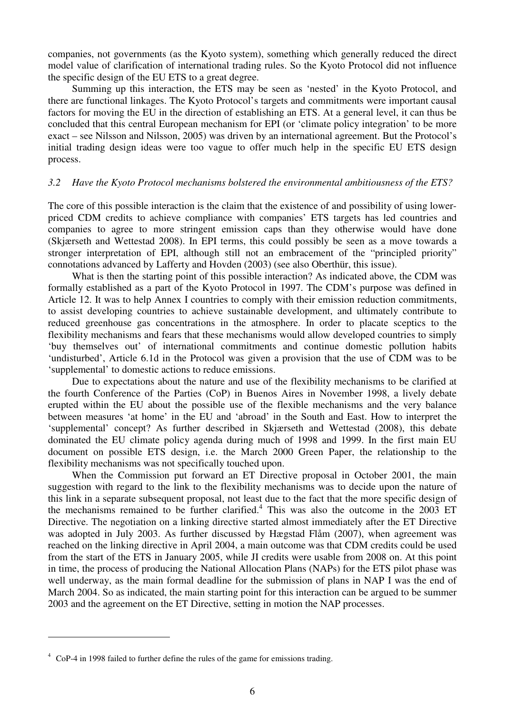companies, not governments (as the Kyoto system), something which generally reduced the direct model value of clarification of international trading rules. So the Kyoto Protocol did not influence the specific design of the EU ETS to a great degree.

 Summing up this interaction, the ETS may be seen as 'nested' in the Kyoto Protocol, and there are functional linkages. The Kyoto Protocol's targets and commitments were important causal factors for moving the EU in the direction of establishing an ETS. At a general level, it can thus be concluded that this central European mechanism for EPI (or 'climate policy integration' to be more exact – see Nilsson and Nilsson, 2005) was driven by an international agreement. But the Protocol's initial trading design ideas were too vague to offer much help in the specific EU ETS design process.

#### *3.2 Have the Kyoto Protocol mechanisms bolstered the environmental ambitiousness of the ETS?*

The core of this possible interaction is the claim that the existence of and possibility of using lowerpriced CDM credits to achieve compliance with companies' ETS targets has led countries and companies to agree to more stringent emission caps than they otherwise would have done (Skjærseth and Wettestad 2008). In EPI terms, this could possibly be seen as a move towards a stronger interpretation of EPI, although still not an embracement of the "principled priority" connotations advanced by Lafferty and Hovden (2003) (see also Oberthür, this issue).

 What is then the starting point of this possible interaction? As indicated above, the CDM was formally established as a part of the Kyoto Protocol in 1997. The CDM's purpose was defined in Article 12. It was to help Annex I countries to comply with their emission reduction commitments, to assist developing countries to achieve sustainable development, and ultimately contribute to reduced greenhouse gas concentrations in the atmosphere. In order to placate sceptics to the flexibility mechanisms and fears that these mechanisms would allow developed countries to simply 'buy themselves out' of international commitments and continue domestic pollution habits 'undisturbed', Article 6.1d in the Protocol was given a provision that the use of CDM was to be 'supplemental' to domestic actions to reduce emissions.

 Due to expectations about the nature and use of the flexibility mechanisms to be clarified at the fourth Conference of the Parties (CoP) in Buenos Aires in November 1998, a lively debate erupted within the EU about the possible use of the flexible mechanisms and the very balance between measures 'at home' in the EU and 'abroad' in the South and East. How to interpret the 'supplemental' concept? As further described in Skjærseth and Wettestad (2008), this debate dominated the EU climate policy agenda during much of 1998 and 1999. In the first main EU document on possible ETS design, i.e. the March 2000 Green Paper, the relationship to the flexibility mechanisms was not specifically touched upon.

 When the Commission put forward an ET Directive proposal in October 2001, the main suggestion with regard to the link to the flexibility mechanisms was to decide upon the nature of this link in a separate subsequent proposal, not least due to the fact that the more specific design of the mechanisms remained to be further clarified.<sup>4</sup> This was also the outcome in the  $2003$  ET Directive. The negotiation on a linking directive started almost immediately after the ET Directive was adopted in July 2003. As further discussed by Hægstad Flåm (2007), when agreement was reached on the linking directive in April 2004, a main outcome was that CDM credits could be used from the start of the ETS in January 2005, while JI credits were usable from 2008 on. At this point in time, the process of producing the National Allocation Plans (NAPs) for the ETS pilot phase was well underway, as the main formal deadline for the submission of plans in NAP I was the end of March 2004. So as indicated, the main starting point for this interaction can be argued to be summer 2003 and the agreement on the ET Directive, setting in motion the NAP processes.

<sup>&</sup>lt;sup>4</sup> CoP-4 in 1998 failed to further define the rules of the game for emissions trading.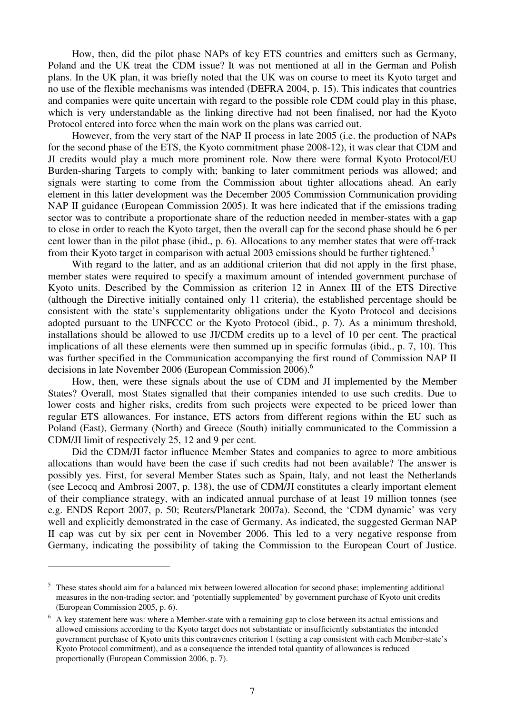How, then, did the pilot phase NAPs of key ETS countries and emitters such as Germany, Poland and the UK treat the CDM issue? It was not mentioned at all in the German and Polish plans. In the UK plan, it was briefly noted that the UK was on course to meet its Kyoto target and no use of the flexible mechanisms was intended (DEFRA 2004, p. 15). This indicates that countries and companies were quite uncertain with regard to the possible role CDM could play in this phase, which is very understandable as the linking directive had not been finalised, nor had the Kyoto Protocol entered into force when the main work on the plans was carried out.

 However, from the very start of the NAP II process in late 2005 (i.e. the production of NAPs for the second phase of the ETS, the Kyoto commitment phase 2008-12), it was clear that CDM and JI credits would play a much more prominent role. Now there were formal Kyoto Protocol/EU Burden-sharing Targets to comply with; banking to later commitment periods was allowed; and signals were starting to come from the Commission about tighter allocations ahead. An early element in this latter development was the December 2005 Commission Communication providing NAP II guidance (European Commission 2005). It was here indicated that if the emissions trading sector was to contribute a proportionate share of the reduction needed in member-states with a gap to close in order to reach the Kyoto target, then the overall cap for the second phase should be 6 per cent lower than in the pilot phase (ibid., p. 6). Allocations to any member states that were off-track from their Kyoto target in comparison with actual 2003 emissions should be further tightened.<sup>5</sup>

With regard to the latter, and as an additional criterion that did not apply in the first phase, member states were required to specify a maximum amount of intended government purchase of Kyoto units. Described by the Commission as criterion 12 in Annex III of the ETS Directive (although the Directive initially contained only 11 criteria), the established percentage should be consistent with the state's supplementarity obligations under the Kyoto Protocol and decisions adopted pursuant to the UNFCCC or the Kyoto Protocol (ibid., p. 7). As a minimum threshold, installations should be allowed to use JI/CDM credits up to a level of 10 per cent. The practical implications of all these elements were then summed up in specific formulas (ibid., p. 7, 10). This was further specified in the Communication accompanying the first round of Commission NAP II decisions in late November 2006 (European Commission 2006).<sup>6</sup>

 How, then, were these signals about the use of CDM and JI implemented by the Member States? Overall, most States signalled that their companies intended to use such credits. Due to lower costs and higher risks, credits from such projects were expected to be priced lower than regular ETS allowances. For instance, ETS actors from different regions within the EU such as Poland (East), Germany (North) and Greece (South) initially communicated to the Commission a CDM/JI limit of respectively 25, 12 and 9 per cent.

 Did the CDM/JI factor influence Member States and companies to agree to more ambitious allocations than would have been the case if such credits had not been available? The answer is possibly yes. First, for several Member States such as Spain, Italy, and not least the Netherlands (see Lecocq and Ambrosi 2007, p. 138), the use of CDM/JI constitutes a clearly important element of their compliance strategy, with an indicated annual purchase of at least 19 million tonnes (see e.g. ENDS Report 2007, p. 50; Reuters/Planetark 2007a). Second, the 'CDM dynamic' was very well and explicitly demonstrated in the case of Germany. As indicated, the suggested German NAP II cap was cut by six per cent in November 2006. This led to a very negative response from Germany, indicating the possibility of taking the Commission to the European Court of Justice.

 $5$  These states should aim for a balanced mix between lowered allocation for second phase; implementing additional measures in the non-trading sector; and 'potentially supplemented' by government purchase of Kyoto unit credits (European Commission 2005, p. 6).

<sup>&</sup>lt;sup>6</sup> A key statement here was: where a Member-state with a remaining gap to close between its actual emissions and allowed emissions according to the Kyoto target does not substantiate or insufficiently substantiates the intended government purchase of Kyoto units this contravenes criterion 1 (setting a cap consistent with each Member-state's Kyoto Protocol commitment), and as a consequence the intended total quantity of allowances is reduced proportionally (European Commission 2006, p. 7).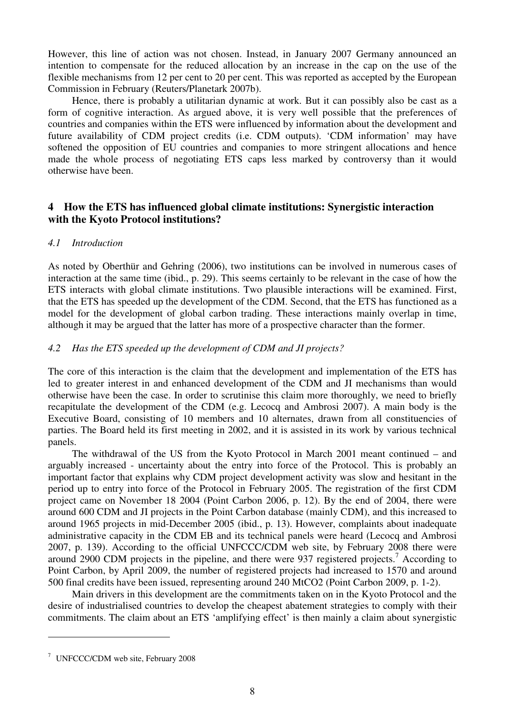However, this line of action was not chosen. Instead, in January 2007 Germany announced an intention to compensate for the reduced allocation by an increase in the cap on the use of the flexible mechanisms from 12 per cent to 20 per cent. This was reported as accepted by the European Commission in February (Reuters/Planetark 2007b).

 Hence, there is probably a utilitarian dynamic at work. But it can possibly also be cast as a form of cognitive interaction. As argued above, it is very well possible that the preferences of countries and companies within the ETS were influenced by information about the development and future availability of CDM project credits (i.e. CDM outputs). 'CDM information' may have softened the opposition of EU countries and companies to more stringent allocations and hence made the whole process of negotiating ETS caps less marked by controversy than it would otherwise have been.

# **4 How the ETS has influenced global climate institutions: Synergistic interaction with the Kyoto Protocol institutions?**

#### *4.1 Introduction*

As noted by Oberthür and Gehring (2006), two institutions can be involved in numerous cases of interaction at the same time (ibid., p. 29). This seems certainly to be relevant in the case of how the ETS interacts with global climate institutions. Two plausible interactions will be examined. First, that the ETS has speeded up the development of the CDM. Second, that the ETS has functioned as a model for the development of global carbon trading. These interactions mainly overlap in time, although it may be argued that the latter has more of a prospective character than the former.

## *4.2 Has the ETS speeded up the development of CDM and JI projects?*

The core of this interaction is the claim that the development and implementation of the ETS has led to greater interest in and enhanced development of the CDM and JI mechanisms than would otherwise have been the case. In order to scrutinise this claim more thoroughly, we need to briefly recapitulate the development of the CDM (e.g. Lecocq and Ambrosi 2007). A main body is the Executive Board, consisting of 10 members and 10 alternates, drawn from all constituencies of parties. The Board held its first meeting in 2002, and it is assisted in its work by various technical panels.

 The withdrawal of the US from the Kyoto Protocol in March 2001 meant continued – and arguably increased - uncertainty about the entry into force of the Protocol. This is probably an important factor that explains why CDM project development activity was slow and hesitant in the period up to entry into force of the Protocol in February 2005. The registration of the first CDM project came on November 18 2004 (Point Carbon 2006, p. 12). By the end of 2004, there were around 600 CDM and JI projects in the Point Carbon database (mainly CDM), and this increased to around 1965 projects in mid-December 2005 (ibid., p. 13). However, complaints about inadequate administrative capacity in the CDM EB and its technical panels were heard (Lecocq and Ambrosi 2007, p. 139). According to the official UNFCCC/CDM web site, by February 2008 there were around 2900 CDM projects in the pipeline, and there were 937 registered projects.<sup>7</sup> According to Point Carbon, by April 2009, the number of registered projects had increased to 1570 and around 500 final credits have been issued, representing around 240 MtCO2 (Point Carbon 2009, p. 1-2).

 Main drivers in this development are the commitments taken on in the Kyoto Protocol and the desire of industrialised countries to develop the cheapest abatement strategies to comply with their commitments. The claim about an ETS 'amplifying effect' is then mainly a claim about synergistic

<sup>&</sup>lt;sup>7</sup> UNFCCC/CDM web site, February 2008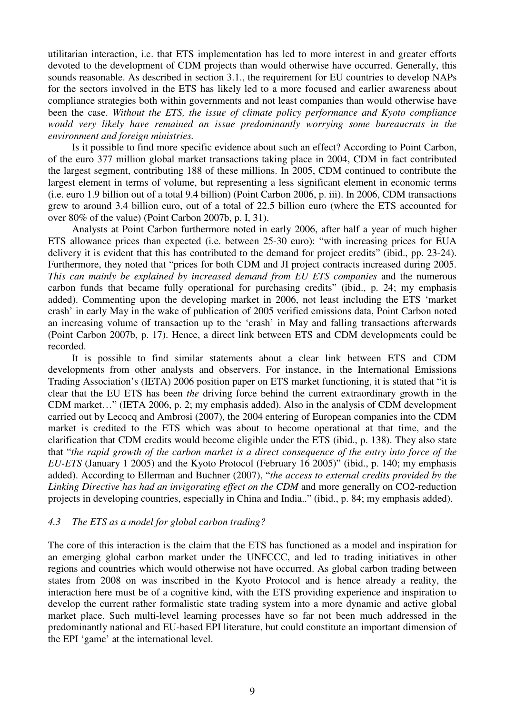utilitarian interaction, i.e. that ETS implementation has led to more interest in and greater efforts devoted to the development of CDM projects than would otherwise have occurred. Generally, this sounds reasonable. As described in section 3.1., the requirement for EU countries to develop NAPs for the sectors involved in the ETS has likely led to a more focused and earlier awareness about compliance strategies both within governments and not least companies than would otherwise have been the case. *Without the ETS, the issue of climate policy performance and Kyoto compliance would very likely have remained an issue predominantly worrying some bureaucrats in the environment and foreign ministries.* 

 Is it possible to find more specific evidence about such an effect? According to Point Carbon, of the euro 377 million global market transactions taking place in 2004, CDM in fact contributed the largest segment, contributing 188 of these millions. In 2005, CDM continued to contribute the largest element in terms of volume, but representing a less significant element in economic terms (i.e. euro 1.9 billion out of a total 9.4 billion) (Point Carbon 2006, p. iii). In 2006, CDM transactions grew to around 3.4 billion euro, out of a total of 22.5 billion euro (where the ETS accounted for over 80% of the value) (Point Carbon 2007b, p. I, 31).

 Analysts at Point Carbon furthermore noted in early 2006, after half a year of much higher ETS allowance prices than expected (i.e. between 25-30 euro): "with increasing prices for EUA delivery it is evident that this has contributed to the demand for project credits" (ibid., pp. 23-24). Furthermore, they noted that "prices for both CDM and JI project contracts increased during 2005. *This can mainly be explained by increased demand from EU ETS companies* and the numerous carbon funds that became fully operational for purchasing credits" (ibid., p. 24; my emphasis added). Commenting upon the developing market in 2006, not least including the ETS 'market crash' in early May in the wake of publication of 2005 verified emissions data, Point Carbon noted an increasing volume of transaction up to the 'crash' in May and falling transactions afterwards (Point Carbon 2007b, p. 17). Hence, a direct link between ETS and CDM developments could be recorded.

 It is possible to find similar statements about a clear link between ETS and CDM developments from other analysts and observers. For instance, in the International Emissions Trading Association's (IETA) 2006 position paper on ETS market functioning, it is stated that "it is clear that the EU ETS has been *the* driving force behind the current extraordinary growth in the CDM market…" (IETA 2006, p. 2; my emphasis added). Also in the analysis of CDM development carried out by Lecocq and Ambrosi (2007), the 2004 entering of European companies into the CDM market is credited to the ETS which was about to become operational at that time, and the clarification that CDM credits would become eligible under the ETS (ibid., p. 138). They also state that "*the rapid growth of the carbon market is a direct consequence of the entry into force of the EU-ETS* (January 1 2005) and the Kyoto Protocol (February 16 2005)" (ibid., p. 140; my emphasis added). According to Ellerman and Buchner (2007), "*the access to external credits provided by the Linking Directive has had an invigorating effect on the CDM* and more generally on CO2-reduction projects in developing countries, especially in China and India.." (ibid., p. 84; my emphasis added).

#### *4.3 The ETS as a model for global carbon trading?*

The core of this interaction is the claim that the ETS has functioned as a model and inspiration for an emerging global carbon market under the UNFCCC, and led to trading initiatives in other regions and countries which would otherwise not have occurred. As global carbon trading between states from 2008 on was inscribed in the Kyoto Protocol and is hence already a reality, the interaction here must be of a cognitive kind, with the ETS providing experience and inspiration to develop the current rather formalistic state trading system into a more dynamic and active global market place. Such multi-level learning processes have so far not been much addressed in the predominantly national and EU-based EPI literature, but could constitute an important dimension of the EPI 'game' at the international level.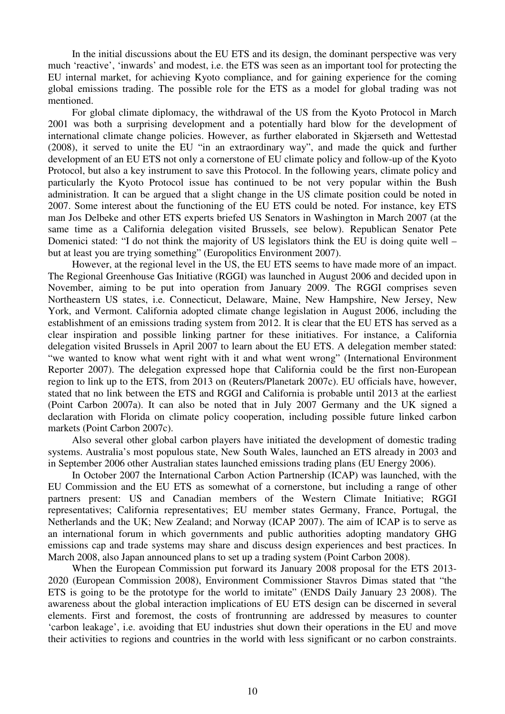In the initial discussions about the EU ETS and its design, the dominant perspective was very much 'reactive', 'inwards' and modest, i.e. the ETS was seen as an important tool for protecting the EU internal market, for achieving Kyoto compliance, and for gaining experience for the coming global emissions trading. The possible role for the ETS as a model for global trading was not mentioned.

 For global climate diplomacy, the withdrawal of the US from the Kyoto Protocol in March 2001 was both a surprising development and a potentially hard blow for the development of international climate change policies. However, as further elaborated in Skjærseth and Wettestad (2008), it served to unite the EU "in an extraordinary way", and made the quick and further development of an EU ETS not only a cornerstone of EU climate policy and follow-up of the Kyoto Protocol, but also a key instrument to save this Protocol. In the following years, climate policy and particularly the Kyoto Protocol issue has continued to be not very popular within the Bush administration. It can be argued that a slight change in the US climate position could be noted in 2007. Some interest about the functioning of the EU ETS could be noted. For instance, key ETS man Jos Delbeke and other ETS experts briefed US Senators in Washington in March 2007 (at the same time as a California delegation visited Brussels, see below). Republican Senator Pete Domenici stated: "I do not think the majority of US legislators think the EU is doing quite well – but at least you are trying something" (Europolitics Environment 2007).

 However, at the regional level in the US, the EU ETS seems to have made more of an impact. The Regional Greenhouse Gas Initiative (RGGI) was launched in August 2006 and decided upon in November, aiming to be put into operation from January 2009. The RGGI comprises seven Northeastern US states, i.e. Connecticut, Delaware, Maine, New Hampshire, New Jersey, New York, and Vermont. California adopted climate change legislation in August 2006, including the establishment of an emissions trading system from 2012. It is clear that the EU ETS has served as a clear inspiration and possible linking partner for these initiatives. For instance, a California delegation visited Brussels in April 2007 to learn about the EU ETS. A delegation member stated: "we wanted to know what went right with it and what went wrong" (International Environment Reporter 2007). The delegation expressed hope that California could be the first non-European region to link up to the ETS, from 2013 on (Reuters/Planetark 2007c). EU officials have, however, stated that no link between the ETS and RGGI and California is probable until 2013 at the earliest (Point Carbon 2007a). It can also be noted that in July 2007 Germany and the UK signed a declaration with Florida on climate policy cooperation, including possible future linked carbon markets (Point Carbon 2007c).

 Also several other global carbon players have initiated the development of domestic trading systems. Australia's most populous state, New South Wales, launched an ETS already in 2003 and in September 2006 other Australian states launched emissions trading plans (EU Energy 2006).

 In October 2007 the International Carbon Action Partnership (ICAP) was launched, with the EU Commission and the EU ETS as somewhat of a cornerstone, but including a range of other partners present: US and Canadian members of the Western Climate Initiative; RGGI representatives; California representatives; EU member states Germany, France, Portugal, the Netherlands and the UK; New Zealand; and Norway (ICAP 2007). The aim of ICAP is to serve as an international forum in which governments and public authorities adopting mandatory GHG emissions cap and trade systems may share and discuss design experiences and best practices. In March 2008, also Japan announced plans to set up a trading system (Point Carbon 2008).

 When the European Commission put forward its January 2008 proposal for the ETS 2013- 2020 (European Commission 2008), Environment Commissioner Stavros Dimas stated that "the ETS is going to be the prototype for the world to imitate" (ENDS Daily January 23 2008). The awareness about the global interaction implications of EU ETS design can be discerned in several elements. First and foremost, the costs of frontrunning are addressed by measures to counter 'carbon leakage', i.e. avoiding that EU industries shut down their operations in the EU and move their activities to regions and countries in the world with less significant or no carbon constraints.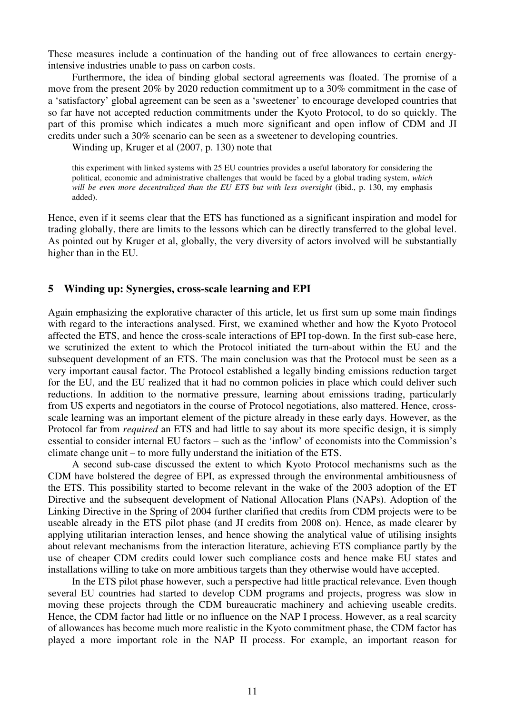These measures include a continuation of the handing out of free allowances to certain energyintensive industries unable to pass on carbon costs.

 Furthermore, the idea of binding global sectoral agreements was floated. The promise of a move from the present 20% by 2020 reduction commitment up to a 30% commitment in the case of a 'satisfactory' global agreement can be seen as a 'sweetener' to encourage developed countries that so far have not accepted reduction commitments under the Kyoto Protocol, to do so quickly. The part of this promise which indicates a much more significant and open inflow of CDM and JI credits under such a 30% scenario can be seen as a sweetener to developing countries.

Winding up, Kruger et al (2007, p. 130) note that

this experiment with linked systems with 25 EU countries provides a useful laboratory for considering the political, economic and administrative challenges that would be faced by a global trading system, *which will be even more decentralized than the EU ETS but with less oversight* (ibid., p. 130, my emphasis added).

Hence, even if it seems clear that the ETS has functioned as a significant inspiration and model for trading globally, there are limits to the lessons which can be directly transferred to the global level. As pointed out by Kruger et al, globally, the very diversity of actors involved will be substantially higher than in the EU.

#### **5 Winding up: Synergies, cross-scale learning and EPI**

Again emphasizing the explorative character of this article, let us first sum up some main findings with regard to the interactions analysed. First, we examined whether and how the Kyoto Protocol affected the ETS, and hence the cross-scale interactions of EPI top-down. In the first sub-case here, we scrutinized the extent to which the Protocol initiated the turn-about within the EU and the subsequent development of an ETS. The main conclusion was that the Protocol must be seen as a very important causal factor. The Protocol established a legally binding emissions reduction target for the EU, and the EU realized that it had no common policies in place which could deliver such reductions. In addition to the normative pressure, learning about emissions trading, particularly from US experts and negotiators in the course of Protocol negotiations, also mattered. Hence, crossscale learning was an important element of the picture already in these early days. However, as the Protocol far from *required* an ETS and had little to say about its more specific design, it is simply essential to consider internal EU factors – such as the 'inflow' of economists into the Commission's climate change unit – to more fully understand the initiation of the ETS.

 A second sub-case discussed the extent to which Kyoto Protocol mechanisms such as the CDM have bolstered the degree of EPI, as expressed through the environmental ambitiousness of the ETS. This possibility started to become relevant in the wake of the 2003 adoption of the ET Directive and the subsequent development of National Allocation Plans (NAPs). Adoption of the Linking Directive in the Spring of 2004 further clarified that credits from CDM projects were to be useable already in the ETS pilot phase (and JI credits from 2008 on). Hence, as made clearer by applying utilitarian interaction lenses, and hence showing the analytical value of utilising insights about relevant mechanisms from the interaction literature, achieving ETS compliance partly by the use of cheaper CDM credits could lower such compliance costs and hence make EU states and installations willing to take on more ambitious targets than they otherwise would have accepted.

 In the ETS pilot phase however, such a perspective had little practical relevance. Even though several EU countries had started to develop CDM programs and projects, progress was slow in moving these projects through the CDM bureaucratic machinery and achieving useable credits. Hence, the CDM factor had little or no influence on the NAP I process. However, as a real scarcity of allowances has become much more realistic in the Kyoto commitment phase, the CDM factor has played a more important role in the NAP II process. For example, an important reason for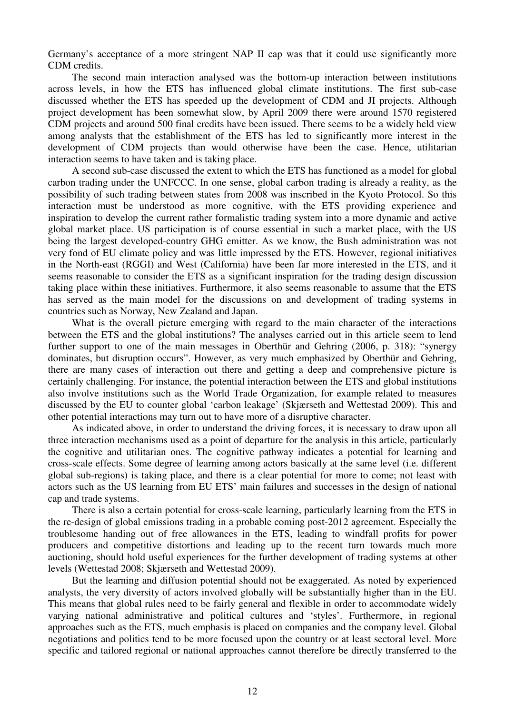Germany's acceptance of a more stringent NAP II cap was that it could use significantly more CDM credits.

 The second main interaction analysed was the bottom-up interaction between institutions across levels, in how the ETS has influenced global climate institutions. The first sub-case discussed whether the ETS has speeded up the development of CDM and JI projects. Although project development has been somewhat slow, by April 2009 there were around 1570 registered CDM projects and around 500 final credits have been issued. There seems to be a widely held view among analysts that the establishment of the ETS has led to significantly more interest in the development of CDM projects than would otherwise have been the case. Hence, utilitarian interaction seems to have taken and is taking place.

 A second sub-case discussed the extent to which the ETS has functioned as a model for global carbon trading under the UNFCCC. In one sense, global carbon trading is already a reality, as the possibility of such trading between states from 2008 was inscribed in the Kyoto Protocol. So this interaction must be understood as more cognitive, with the ETS providing experience and inspiration to develop the current rather formalistic trading system into a more dynamic and active global market place. US participation is of course essential in such a market place, with the US being the largest developed-country GHG emitter. As we know, the Bush administration was not very fond of EU climate policy and was little impressed by the ETS. However, regional initiatives in the North-east (RGGI) and West (California) have been far more interested in the ETS, and it seems reasonable to consider the ETS as a significant inspiration for the trading design discussion taking place within these initiatives. Furthermore, it also seems reasonable to assume that the ETS has served as the main model for the discussions on and development of trading systems in countries such as Norway, New Zealand and Japan.

What is the overall picture emerging with regard to the main character of the interactions between the ETS and the global institutions? The analyses carried out in this article seem to lend further support to one of the main messages in Oberthür and Gehring (2006, p. 318): "synergy dominates, but disruption occurs". However, as very much emphasized by Oberthür and Gehring, there are many cases of interaction out there and getting a deep and comprehensive picture is certainly challenging. For instance, the potential interaction between the ETS and global institutions also involve institutions such as the World Trade Organization, for example related to measures discussed by the EU to counter global 'carbon leakage' (Skjærseth and Wettestad 2009). This and other potential interactions may turn out to have more of a disruptive character.

 As indicated above, in order to understand the driving forces, it is necessary to draw upon all three interaction mechanisms used as a point of departure for the analysis in this article, particularly the cognitive and utilitarian ones. The cognitive pathway indicates a potential for learning and cross-scale effects. Some degree of learning among actors basically at the same level (i.e. different global sub-regions) is taking place, and there is a clear potential for more to come; not least with actors such as the US learning from EU ETS' main failures and successes in the design of national cap and trade systems.

 There is also a certain potential for cross-scale learning, particularly learning from the ETS in the re-design of global emissions trading in a probable coming post-2012 agreement. Especially the troublesome handing out of free allowances in the ETS, leading to windfall profits for power producers and competitive distortions and leading up to the recent turn towards much more auctioning, should hold useful experiences for the further development of trading systems at other levels (Wettestad 2008; Skjærseth and Wettestad 2009).

 But the learning and diffusion potential should not be exaggerated. As noted by experienced analysts, the very diversity of actors involved globally will be substantially higher than in the EU. This means that global rules need to be fairly general and flexible in order to accommodate widely varying national administrative and political cultures and 'styles'. Furthermore, in regional approaches such as the ETS, much emphasis is placed on companies and the company level. Global negotiations and politics tend to be more focused upon the country or at least sectoral level. More specific and tailored regional or national approaches cannot therefore be directly transferred to the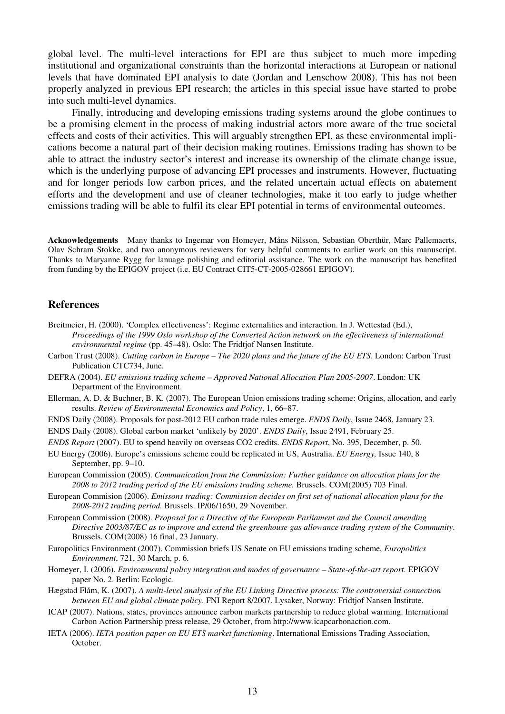global level. The multi-level interactions for EPI are thus subject to much more impeding institutional and organizational constraints than the horizontal interactions at European or national levels that have dominated EPI analysis to date (Jordan and Lenschow 2008). This has not been properly analyzed in previous EPI research; the articles in this special issue have started to probe into such multi-level dynamics.

 Finally, introducing and developing emissions trading systems around the globe continues to be a promising element in the process of making industrial actors more aware of the true societal effects and costs of their activities. This will arguably strengthen EPI, as these environmental implications become a natural part of their decision making routines. Emissions trading has shown to be able to attract the industry sector's interest and increase its ownership of the climate change issue, which is the underlying purpose of advancing EPI processes and instruments. However, fluctuating and for longer periods low carbon prices, and the related uncertain actual effects on abatement efforts and the development and use of cleaner technologies, make it too early to judge whether emissions trading will be able to fulfil its clear EPI potential in terms of environmental outcomes.

**Acknowledgements** Many thanks to Ingemar von Homeyer, Måns Nilsson, Sebastian Oberthür, Marc Pallemaerts, Olav Schram Stokke, and two anonymous reviewers for very helpful comments to earlier work on this manuscript. Thanks to Maryanne Rygg for lanuage polishing and editorial assistance. The work on the manuscript has benefited from funding by the EPIGOV project (i.e. EU Contract CIT5-CT-2005-028661 EPIGOV).

#### **References**

- Breitmeier, H. (2000). 'Complex effectiveness': Regime externalities and interaction. In J. Wettestad (Ed.), *Proceedings of the 1999 Oslo workshop of the Converted Action network on the effectiveness of international environmental regime* (pp. 45–48). Oslo: The Fridtjof Nansen Institute.
- Carbon Trust (2008). *Cutting carbon in Europe The 2020 plans and the future of the EU ETS*. London: Carbon Trust Publication CTC734, June.
- DEFRA (2004). *EU emissions trading scheme Approved National Allocation Plan 2005-2007*. London: UK Department of the Environment.
- Ellerman, A. D. & Buchner, B. K. (2007). The European Union emissions trading scheme: Origins, allocation, and early results. *Review of Environmental Economics and Policy*, 1, 66–87.
- ENDS Daily (2008). Proposals for post-2012 EU carbon trade rules emerge. *ENDS Daily*, Issue 2468, January 23.
- ENDS Daily (2008). Global carbon market 'unlikely by 2020'. *ENDS Daily*, Issue 2491, February 25.
- *ENDS Report* (2007). EU to spend heavily on overseas CO2 credits. *ENDS Report*, No. 395, December, p. 50.
- EU Energy (2006). Europe's emissions scheme could be replicated in US, Australia. *EU Energy,* Issue 140, 8 September, pp. 9–10.
- European Commission (2005). *Communication from the Commission: Further guidance on allocation plans for the 2008 to 2012 trading period of the EU emissions trading scheme.* Brussels. COM(2005) 703 Final.
- European Commision (2006). *Emissons trading: Commission decides on first set of national allocation plans for the 2008-2012 trading period.* Brussels. IP/06/1650, 29 November.
- European Commission (2008). *Proposal for a Directive of the European Parliament and the Council amending Directive 2003/87/EC as to improve and extend the greenhouse gas allowance trading system of the Community*. Brussels. COM(2008) 16 final, 23 January.
- Europolitics Environment (2007). Commission briefs US Senate on EU emissions trading scheme, *Europolitics Environment*, 721, 30 March, p. 6.
- Homeyer, I. (2006). *Environmental policy integration and modes of governance State-of-the-art report*. EPIGOV paper No. 2. Berlin: Ecologic.
- Hægstad Flåm, K. (2007). *A multi-level analysis of the EU Linking Directive process: The controversial connection between EU and global climate policy*. FNI Report 8/2007. Lysaker, Norway: Fridtjof Nansen Institute.
- ICAP (2007). Nations, states, provinces announce carbon markets partnership to reduce global warming. International Carbon Action Partnership press release, 29 October, from http://www.icapcarbonaction.com.
- IETA (2006). *IETA position paper on EU ETS market functioning*. International Emissions Trading Association, October.